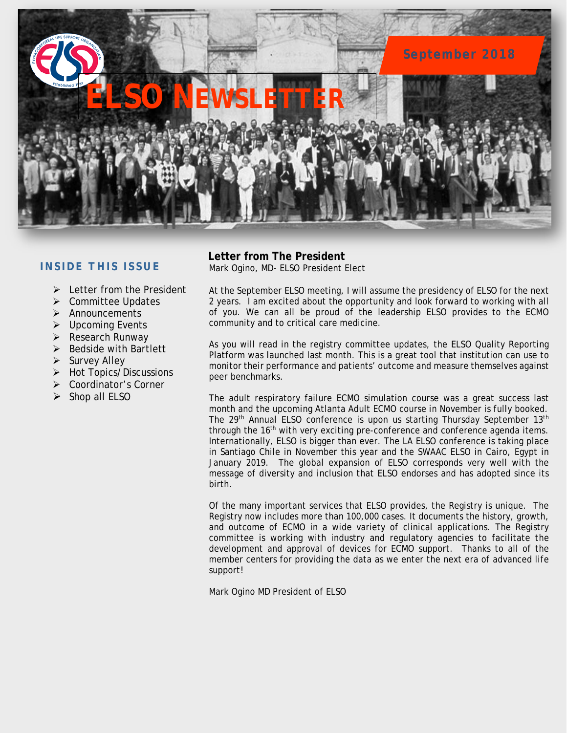

## **INSIDE THIS ISSUE**

- $\triangleright$  Letter from the President
- **▶ Committee Updates**
- $\triangleright$  Announcements
- $\triangleright$  Upcoming Events
- $\triangleright$  Research Runway
- $\triangleright$  Bedside with Bartlett
- $\triangleright$  Survey Alley
- $\triangleright$  Hot Topics/Discussions
- Coordinator's Corner
- $\triangleright$  Shop all ELSO

# **Letter from The President**

Mark Ogino, MD- ELSO President Elect

At the September ELSO meeting, I will assume the presidency of ELSO for the next 2 years. I am excited about the opportunity and look forward to working with all of you. We can all be proud of the leadership ELSO provides to the ECMO community and to critical care medicine.

As you will read in the registry committee updates, the ELSO Quality Reporting Platform was launched last month. This is a great tool that institution can use to monitor their performance and patients' outcome and measure themselves against peer benchmarks.

The adult respiratory failure ECMO simulation course was a great success last month and the upcoming Atlanta Adult ECMO course in November is fully booked. The 29<sup>th</sup> Annual ELSO conference is upon us starting Thursday September 13<sup>th</sup> through the 16<sup>th</sup> with very exciting pre-conference and conference agenda items. Internationally, ELSO is bigger than ever. The LA ELSO conference is taking place in Santiago Chile in November this year and the SWAAC ELSO in Cairo, Egypt in January 2019. The global expansion of ELSO corresponds very well with the message of diversity and inclusion that ELSO endorses and has adopted since its birth.

Of the many important services that ELSO provides, the Registry is unique. The Registry now includes more than 100,000 cases. It documents the history, growth, and outcome of ECMO in a wide variety of clinical applications. The Registry committee is working with industry and regulatory agencies to facilitate the development and approval of devices for ECMO support. Thanks to all of the member centers for providing the data as we enter the next era of advanced life support!

Mark Ogino MD President of ELSO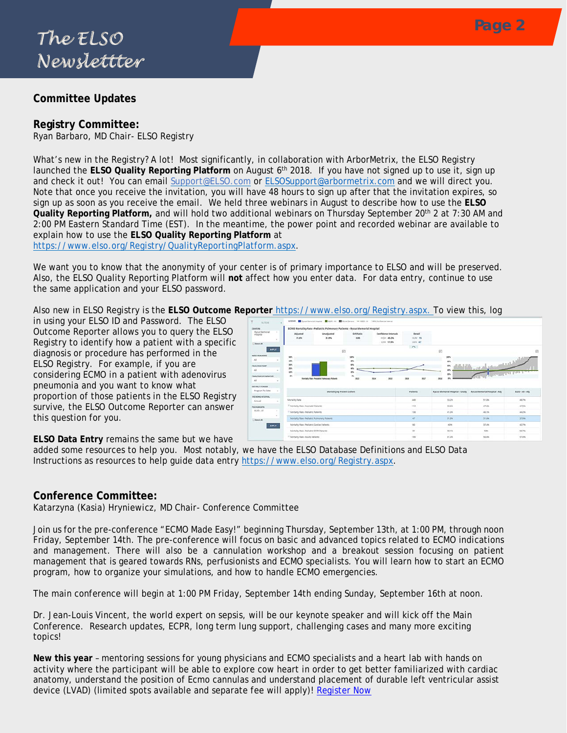## **Committee Updates**

## **Registry Committee:**

Ryan Barbaro, MD Chair- ELSO Registry

What's new in the Registry? A lot! Most significantly, in collaboration with ArborMetrix, the ELSO Registry launched the **ELSO Quality Reporting Platform** on August 6th 2018. If you have not signed up to use it, sign up and check it out! You can email [Support@ELSO.com](mailto:Support@ELSO.com) or [ELSOSupport@arbormetrix.com](mailto:ELSOSupport@arbormetrix.com) and we will direct you. Note that once you receive the invitation, you will have 48 hours to sign up after that the invitation expires, so sign up as soon as you receive the email. We held three webinars in August to describe how to use the **ELSO**  Quality Reporting Platform, and will hold two additional webinars on Thursday September 20<sup>th</sup> 2 at 7:30 AM and 2:00 PM Eastern Standard Time (EST). In the meantime, the power point and recorded webinar are available to explain how to use the **ELSO Quality Reporting Platform** at

[https://www.elso.org/Registry/QualityReportingPlatform.aspx.](https://www.elso.org/Registry/QualityReportingPlatform.aspx)

We want you to know that the anonymity of your center is of primary importance to ELSO and will be preserved. Also, the ELSO Quality Reporting Platform will **not** affect how you enter data. For data entry, continue to use the same application and your ELSO password.

Also new in ELSO Registry is the **ELSO Outcome Reporter** [https://www.elso.org/Registry.aspx.](https://www.elso.org/Registry.aspx) To view this, log

in using your ELSO ID and Password. The ELSO Outcome Reporter allows you to query the ELSO Registry to identify how a patient with a specific diagnosis or procedure has performed in the ELSO Registry. For example, if you are considering ECMO in a patient with adenovirus pneumonia and you want to know what proportion of those patients in the ELSO Registry survive, the ELSO Outcome Reporter can answer this question for you.

| <b>CENTERS</b>                                                                          |                                                 | ECMO Mortality Rate -Pediatric Pulmonary Patients - Ryous Memorial Hospital |                         |                             |               |                                        |                                      |                  |
|-----------------------------------------------------------------------------------------|-------------------------------------------------|-----------------------------------------------------------------------------|-------------------------|-----------------------------|---------------|----------------------------------------|--------------------------------------|------------------|
| Rycus Memorial                                                                          | Adjusted                                        | Unadjusted                                                                  | O/E Ratio               | Confidence Intervals        | Betail        |                                        |                                      |                  |
|                                                                                         | 31.6%                                           | 31.9%                                                                       | 0.85                    | HIGH 45.3%                  | <b>MAI 15</b> |                                        |                                      |                  |
| <b>Belent All</b>                                                                       |                                                 |                                                                             |                         | LOW 17,9%                   | COV 47        |                                        |                                      |                  |
| APPLY:                                                                                  |                                                 |                                                                             |                         |                             | $\sim$        |                                        |                                      |                  |
|                                                                                         |                                                 | 回                                                                           |                         |                             |               | 回                                      |                                      |                  |
| <b>INDEX RUN MODE</b>                                                                   | tev.                                            |                                                                             | 100%                    |                             |               | 200h                                   |                                      |                  |
| A6                                                                                      | in.                                             |                                                                             | sos                     |                             |               | ses.                                   | كالاستستان المعبد                    |                  |
| FINAL RUN FUMP                                                                          | m<br><b>Jon</b>                                 |                                                                             | don <sub>k</sub><br>MN. |                             |               | w                                      |                                      |                  |
| ×                                                                                       | in.                                             |                                                                             | in.                     |                             |               | ×                                      | <b>Marchael Barbad av</b>            |                  |
|                                                                                         |                                                 |                                                                             |                         |                             |               |                                        |                                      |                  |
|                                                                                         | $\sim$                                          |                                                                             | es.                     |                             |               | ses.                                   |                                      |                  |
| FINAL RUN CHYGENATOR<br>Alt<br>٠                                                        |                                                 | Markety Rale Particula Pullminary Palleria                                  | mu.                     | <b>SOLA</b><br><b>State</b> | 3018<br>201   | 2018                                   |                                      |                  |
|                                                                                         |                                                 |                                                                             |                         |                             |               |                                        |                                      |                  |
| $\sim$                                                                                  |                                                 |                                                                             |                         |                             | Patients      | <b>Ryous Memorial Hespital - Unadj</b> | <b>Bycus Memorial Hospital - Adj</b> |                  |
|                                                                                         |                                                 | Martality by Patient Cohort                                                 |                         |                             |               |                                        |                                      | ELSO - All - Adj |
| $\sim$                                                                                  | Mortality Rate                                  |                                                                             |                         |                             | Anh           | 11.2%                                  | \$1.8%                               | 43,746           |
| DEFAILT PERIODS<br>Program To Cate<br>TRENDING INTERVAL<br>Armual<br><b>PECK GROUPS</b> | <sup>25</sup> Mortality Rate -Neonatal Patients |                                                                             |                         |                             | 112           | 53.6H                                  | $47.8\%$                             | 41.5h            |
| ×                                                                                       | Il Mortality Rate -Pediatric Patients           |                                                                             |                         |                             | 138           | 41.396                                 | 40.146                               | 44,2%            |
|                                                                                         | Mortality Rate-Pediatric Pulmonary Patients     |                                                                             |                         |                             | 47            | 31.9%                                  | 31.6%                                | 37.9%            |
| <b>ATPLY</b>                                                                            | Mortality Auto -Pediatric Cardiac Ratents       |                                                                             |                         |                             | ko.           | 40h                                    | 37.4%                                | 42.746           |
| <b>8.50 - All</b><br>Select All                                                         | Mortality Ages -Pediatric ECRR Patients.        |                                                                             |                         |                             | 25            | 58.1%                                  | 50%                                  | 56.7%            |

**ELSO Data Entry** remains the same but we have

added some resources to help you. Most notably, we have the ELSO Database Definitions and ELSO Data Instructions as resources to help guide data entry [https://www.elso.org/Registry.aspx.](https://www.elso.org/Registry.aspx)

### **Conference Committee:**

Katarzyna (Kasia) Hryniewicz, MD Chair- Conference Committee

Join us for the pre-conference "ECMO Made Easy!" beginning Thursday, September 13th, at 1:00 PM, through noon Friday, September 14th. The pre-conference will focus on basic and advanced topics related to ECMO indications and management. There will also be a cannulation workshop and a breakout session focusing on patient management that is geared towards RNs, perfusionists and ECMO specialists. You will learn how to start an ECMO program, how to organize your simulations, and how to handle ECMO emergencies.

The main conference will begin at 1:00 PM Friday, September 14th ending Sunday, September 16th at noon.

Dr. Jean-Louis Vincent, the world expert on sepsis, will be our keynote speaker and will kick off the Main Conference. Research updates, ECPR, long term lung support, challenging cases and many more exciting topics!

**New this year** – mentoring sessions for young physicians and ECMO specialists and a heart lab with hands on activity where the participant will be able to explore cow heart in order to get better familiarized with cardiac anatomy, understand the position of Ecmo cannulas and understand placement of durable left ventricular assist device (LVAD) (limited spots available and separate fee will apply)! [Register Now](http://www.cvent.com/events/29th-annual-elso-conference/event-summary-bd8d73df355a433787b7eea2ee6a3c31.aspx)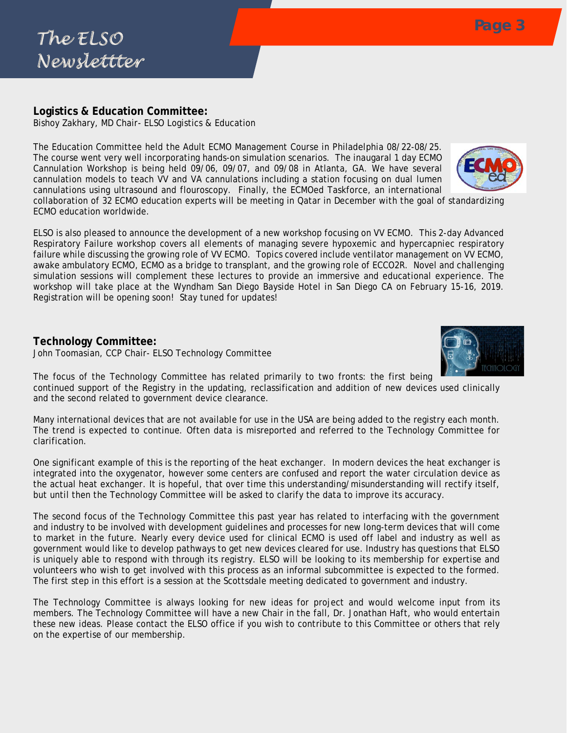# **Logistics & Education Committee:**

Bishoy Zakhary, MD Chair- ELSO Logistics & Education

The Education Committee held the Adult ECMO Management Course in Philadelphia 08/22-08/25. The course went very well incorporating hands-on simulation scenarios. The inaugaral 1 day ECMO Cannulation Workshop is being held 09/06, 09/07, and 09/08 in Atlanta, GA. We have several cannulation models to teach VV and VA cannulations including a station focusing on dual lumen cannulations using ultrasound and flouroscopy. Finally, the ECMOed Taskforce, an international

collaboration of 32 ECMO education experts will be meeting in Qatar in December with the goal of standardizing ECMO education worldwide.

ELSO is also pleased to announce the development of a new workshop focusing on VV ECMO. This 2-day Advanced Respiratory Failure workshop covers all elements of managing severe hypoxemic and hypercapniec respiratory failure while discussing the growing role of VV ECMO. Topics covered include ventilator management on VV ECMO, awake ambulatory ECMO, ECMO as a bridge to transplant, and the growing role of ECCO2R. Novel and challenging simulation sessions will complement these lectures to provide an immersive and educational experience. The workshop will take place at the Wyndham San Diego Bayside Hotel in San Diego CA on February 15-16, 2019. Registration will be opening soon! Stay tuned for updates!

# **Technology Committee:**

John Toomasian, CCP Chair- ELSO Technology Committee

The focus of the Technology Committee has related primarily to two fronts: the first being continued support of the Registry in the updating, reclassification and addition of new devices used clinically and the second related to government device clearance.

Many international devices that are not available for use in the USA are being added to the registry each month. The trend is expected to continue. Often data is misreported and referred to the Technology Committee for clarification.

One significant example of this is the reporting of the heat exchanger. In modern devices the heat exchanger is integrated into the oxygenator, however some centers are confused and report the water circulation device as the actual heat exchanger. It is hopeful, that over time this understanding/misunderstanding will rectify itself, but until then the Technology Committee will be asked to clarify the data to improve its accuracy.

The second focus of the Technology Committee this past year has related to interfacing with the government and industry to be involved with development guidelines and processes for new long-term devices that will come to market in the future. Nearly every device used for clinical ECMO is used off label and industry as well as government would like to develop pathways to get new devices cleared for use. Industry has questions that ELSO is uniquely able to respond with through its registry. ELSO will be looking to its membership for expertise and volunteers who wish to get involved with this process as an informal subcommittee is expected to the formed. The first step in this effort is a session at the Scottsdale meeting dedicated to government and industry.

The Technology Committee is always looking for new ideas for project and would welcome input from its members. The Technology Committee will have a new Chair in the fall, Dr. Jonathan Haft, who would entertain these new ideas. Please contact the ELSO office if you wish to contribute to this Committee or others that rely on the expertise of our membership.



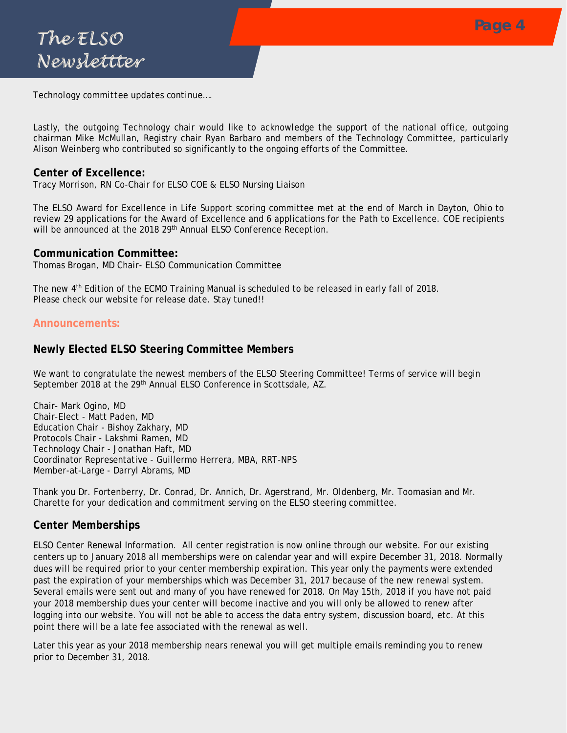*Technology committee updates continue….*

Lastly, the outgoing Technology chair would like to acknowledge the support of the national office, outgoing chairman Mike McMullan, Registry chair Ryan Barbaro and members of the Technology Committee, particularly Alison Weinberg who contributed so significantly to the ongoing efforts of the Committee.

## **Center of Excellence:**

Tracy Morrison, RN Co-Chair for ELSO COE & ELSO Nursing Liaison

The ELSO Award for Excellence in Life Support scoring committee met at the end of March in Dayton, Ohio to review 29 applications for the Award of Excellence and 6 applications for the Path to Excellence. COE recipients will be announced at the 2018 29<sup>th</sup> Annual ELSO Conference Reception.

#### **Communication Committee:**

Thomas Brogan, MD Chair- ELSO Communication Committee

The new 4th Edition of the ECMO Training Manual is scheduled to be released in early fall of 2018. Please check our website for release date. Stay tuned!!

### **Announcements:**

## **Newly Elected ELSO Steering Committee Members**

We want to congratulate the newest members of the ELSO Steering Committee! Terms of service will begin September 2018 at the 29<sup>th</sup> Annual ELSO Conference in Scottsdale, AZ.

Chair- Mark Ogino, MD Chair-Elect - Matt Paden, MD Education Chair - Bishoy Zakhary, MD Protocols Chair - Lakshmi Ramen, MD Technology Chair - Jonathan Haft, MD Coordinator Representative - Guillermo Herrera, MBA, RRT-NPS Member-at-Large - Darryl Abrams, MD

Thank you Dr. Fortenberry, Dr. Conrad, Dr. Annich, Dr. Agerstrand, Mr. Oldenberg, Mr. Toomasian and Mr. Charette for your dedication and commitment serving on the ELSO steering committee.

## **Center Memberships**

ELSO Center Renewal Information. All center registration is now online through our website. For our existing centers up to January 2018 all memberships were on calendar year and will expire December 31, 2018. Normally dues will be required prior to your center membership expiration. This year only the payments were extended past the expiration of your memberships which was December 31, 2017 because of the new renewal system. Several emails were sent out and many of you have renewed for 2018. On May 15th, 2018 if you have not paid your 2018 membership dues your center will become inactive and you will only be allowed to renew after logging into our website. You will not be able to access the data entry system, discussion board, etc. At this point there will be a late fee associated with the renewal as well.

Later this year as your 2018 membership nears renewal you will get multiple emails reminding you to renew prior to December 31, 2018.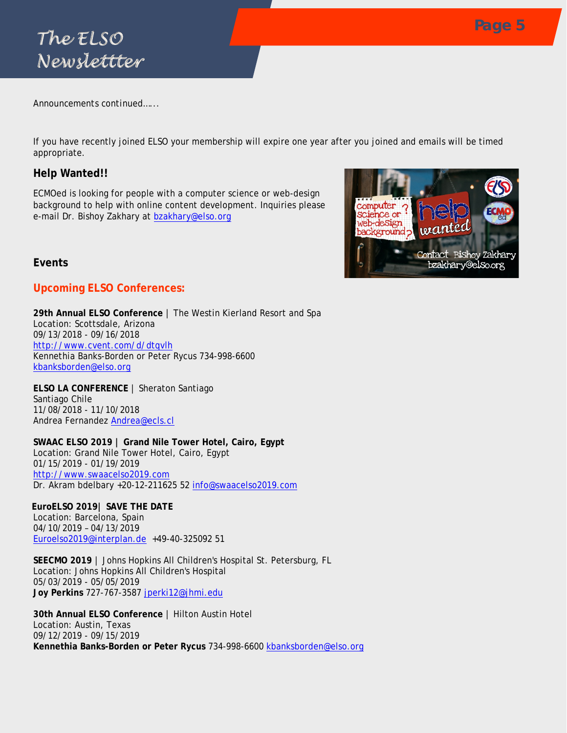

*Announcements continued…...*

If you have recently joined ELSO your membership will expire one year after you joined and emails will be timed appropriate.

## **Help Wanted!!**

ECMOed is looking for people with a computer science or web-design background to help with online content development. Inquiries please e-mail Dr. Bishoy Zakhary at [bzakhary@elso.org](mailto:bzakhary@elso.org)



## **Events**

## **Upcoming ELSO Conferences:**

**29th Annual ELSO Conference** | The Westin Kierland Resort and Spa Location: Scottsdale, Arizona 09/13/2018 - 09/16/2018 <http://www.cvent.com/d/dtqvlh> Kennethia Banks-Borden or Peter Rycus 734-998-6600 [kbanksborden@elso.org](mailto:kbanksborden@elso.org)

**ELSO LA CONFERENCE** | Sheraton Santiago Santiago Chile 11/08/2018 - 11/10/2018 Andrea Fernandez **[Andrea@ecls.cl](mailto:Andrea@ecls.cl)** 

**SWAAC ELSO 2019 | Grand Nile Tower Hotel, Cairo, Egypt** Location: Grand Nile Tower Hotel, Cairo, Egypt 01/15/2019 - 01/19/2019 [http://www.swaacelso2019.com](http://www.swaacelso2019.com/) Dr. Akram bdelbary +20-12-211625 52 [info@swaacelso2019.com](mailto:info@swaacelso2019.com)

**EuroELSO 2019| SAVE THE DATE** Location: Barcelona, Spain 04/10/2019 – 04/13/2019 [Euroelso2019@interplan.de](mailto:Euroelso2019@interplan.de) +49-40-325092 51

**SEECMO 2019** | Johns Hopkins All Children's Hospital St. Petersburg, FL Location: Johns Hopkins All Children's Hospital 05/03/2019 - 05/05/2019 **Joy Perkins** 727-767-3587 [jperki12@jhmi.edu](mailto:jperki12@jhmi.edu)

**30th Annual ELSO Conference** | Hilton Austin Hotel Location: Austin, Texas 09/12/2019 - 09/15/2019 **Kennethia Banks-Borden or Peter Rycus** 734-998-6600 [kbanksborden@elso.org](mailto:kbanksborden@elso.org)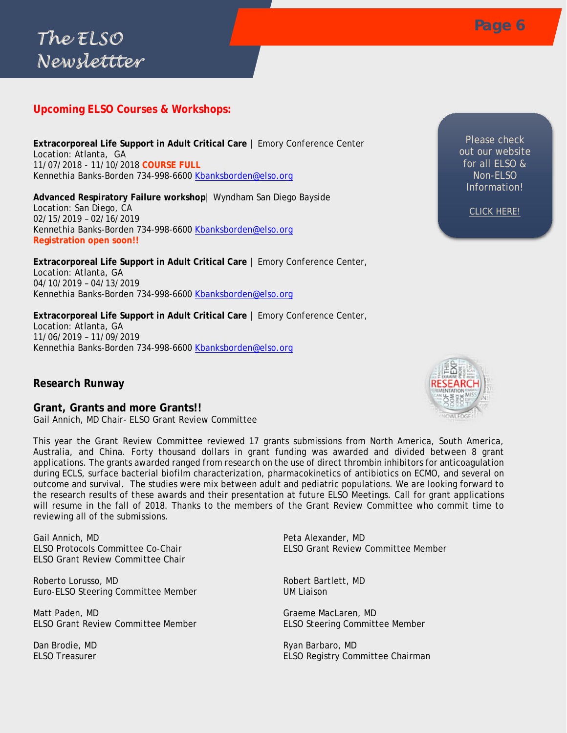# **Upcoming ELSO Courses & Workshops:**

**Extracorporeal Life Support in Adult Critical Care** | Emory Conference Center Location: Atlanta, GA 11/07/2018 - 11/10/2018 **COURSE FULL** Kennethia Banks-Borden 734-998-6600 [Kbanksborden@elso.org](mailto:Kbanksborden@elso.org)

**Advanced Respiratory Failure workshop**| Wyndham San Diego Bayside Location: San Diego, CA 02/15/2019 – 02/16/2019 Kennethia Banks-Borden 734-998-6600 [Kbanksborden@elso.org](mailto:Kbanksborden@elso.org) **Registration open soon!!**

**Extracorporeal Life Support in Adult Critical Care** | Emory Conference Center, Location: Atlanta, GA 04/10/2019 – 04/13/2019 Kennethia Banks-Borden 734-998-6600 [Kbanksborden@elso.org](mailto:Kbanksborden@elso.org)

**Extracorporeal Life Support in Adult Critical Care** | Emory Conference Center, Location: Atlanta, GA 11/06/2019 – 11/09/2019 Kennethia Banks-Borden 734-998-6600 [Kbanksborden@elso.org](mailto:Kbanksborden@elso.org)

### **Research Runway**

**Grant, Grants and more Grants!!** Gail Annich, MD Chair- ELSO Grant Review Committee

This year the Grant Review Committee reviewed 17 grants submissions from North America, South America, Australia, and China. Forty thousand dollars in grant funding was awarded and divided between 8 grant applications. The grants awarded ranged from research on the use of direct thrombin inhibitors for anticoagulation during ECLS, surface bacterial biofilm characterization, pharmacokinetics of antibiotics on ECMO, and several on outcome and survival. The studies were mix between adult and pediatric populations. We are looking forward to the research results of these awards and their presentation at future ELSO Meetings. Call for grant applications will resume in the fall of 2018. Thanks to the members of the Grant Review Committee who commit time to reviewing all of the submissions.

Gail Annich, MD **Peta Alexander, MD** ELSO Grant Review Committee Chair

Roberto Lorusso, MD and Robert Bartlett, MD Robert Bartlett, MD Euro-ELSO Steering Committee Member UM Liaison

Matt Paden, MD Graeme MacLaren, MD ELSO Grant Review Committee Member ELSO Steering Committee Member

ELSO Protocols Committee Co-Chair ELSO Grant Review Committee Member

Dan Brodie, MD<br>FI SO Treasurer Communication of the Communication of the Ryan Barbaro, MD<br>FI SO Treasurer ELSO Registry Committee Chairman



Please check out our website for all ELSO & Non-ELSO Information!

*[CLICK HERE!](https://www.elso.org/Meetings/ELSOCollaborativeMtgs.aspx)*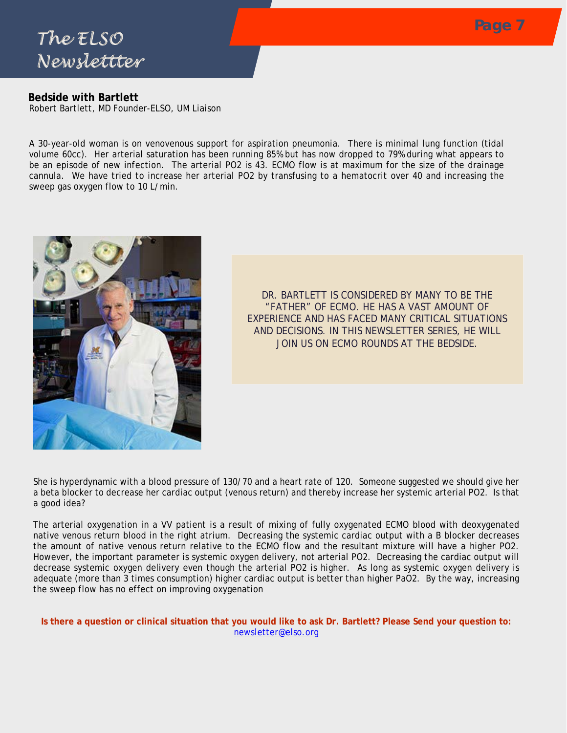

## **Bedside with Bartlett**

Robert Bartlett, MD Founder-ELSO, UM Liaison

A 30-year-old woman is on venovenous support for aspiration pneumonia. There is minimal lung function (tidal volume 60cc). Her arterial saturation has been running 85% but has now dropped to 79% during what appears to be an episode of new infection. The arterial PO2 is 43. ECMO flow is at maximum for the size of the drainage cannula. We have tried to increase her arterial PO2 by transfusing to a hematocrit over 40 and increasing the sweep gas oxygen flow to 10 L/min.



*DR. BARTLETT IS CONSIDERED BY MANY TO BE THE "FATHER" OF ECMO. HE HAS A VAST AMOUNT OF EXPERIENCE AND HAS FACED MANY CRITICAL SITUATIONS AND DECISIONS. IN THIS NEWSLETTER SERIES, HE WILL JOIN US ON ECMO ROUNDS AT THE BEDSIDE.* 

She is hyperdynamic with a blood pressure of 130/70 and a heart rate of 120. Someone suggested we should give her a beta blocker to decrease her cardiac output (venous return) and thereby increase her systemic arterial PO2. Is that a good idea?

The arterial oxygenation in a VV patient is a result of mixing of fully oxygenated ECMO blood with deoxygenated native venous return blood in the right atrium. Decreasing the systemic cardiac output with a B blocker decreases the amount of native venous return relative to the ECMO flow and the resultant mixture will have a higher PO2. However, the important parameter is systemic oxygen delivery, not arterial PO2. Decreasing the cardiac output will decrease systemic oxygen delivery even though the arterial PO2 is higher. As long as systemic oxygen delivery is adequate (more than 3 times consumption) higher cardiac output is better than higher PaO2. By the way, increasing the sweep flow has no effect on improving oxygenation

**Is there a question or clinical situation that you would like to ask Dr. Bartlett? Please Send your question to:** [newsletter@elso.org](file://n05-corea-cifs.med.umich.edu/Home1/Users/kbanksbo/Newsletter/newsletter@elso.org)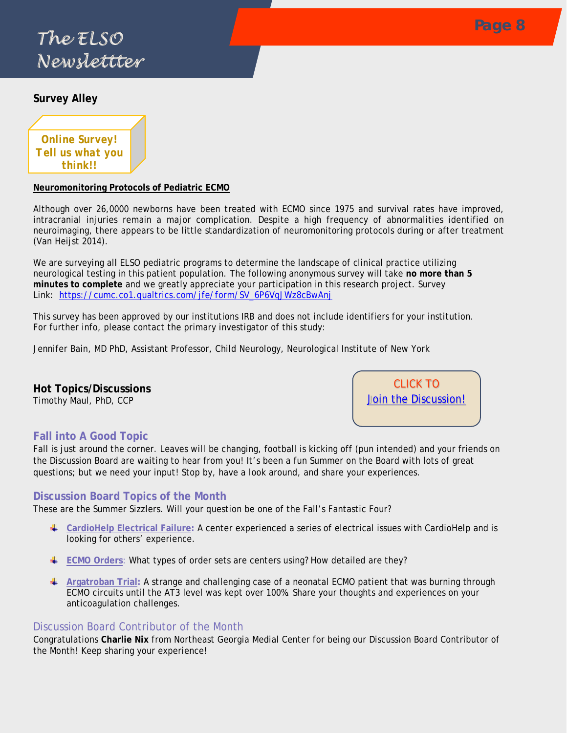# **Page 8** *The ELSO Newslettter*

## **Survey Alley**



### **Neuromonitoring Protocols of Pediatric ECMO**

Although over 26,0000 newborns have been treated with ECMO since 1975 and survival rates have improved, intracranial injuries remain a major complication. Despite a high frequency of abnormalities identified on neuroimaging, there appears to be little standardization of neuromonitoring protocols during or after treatment (Van Heijst 2014).

We are surveying all ELSO pediatric programs to determine the landscape of clinical practice utilizing neurological testing in this patient population. The following anonymous survey will take **no more than 5 minutes to complete** and we greatly appreciate your participation in this research project. Survey Link: [https://cumc.co1.qualtrics.com/jfe/form/SV\\_6P6VqJWz8cBwAnj](https://cumc.co1.qualtrics.com/jfe/form/SV_6P6VqJWz8cBwAnj)

This survey has been approved by our institutions IRB and does not include identifiers for your institution. For further info, please contact the primary investigator of this study:

Jennifer Bain, MD PhD, Assistant Professor, Child Neurology, Neurological Institute of New York

**Hot Topics/Discussions**  Timothy Maul, PhD, CCP

CLICK TO **[Join the Discussion!](https://www.elso.org/Resources/DiscussionBoard.aspx)** 

## **Fall into A Good Topic**

Fall is just around the corner. Leaves will be changing, football is kicking off (pun intended) and your friends on the Discussion Board are waiting to hear from you! It's been a fun Summer on the Board with lots of great questions; but we need your input! Stop by, have a look around, and share your experiences.

### **Discussion Board Topics of the Month**

These are the Summer Sizzlers. Will your question be one of the Fall's Fantastic Four?

- **[CardioHelp Electrical Failure:](https://www.elso.org/Resources/DiscussionBoard/tabid/111/forumid/1/threadid/1700/scope/posts/Default.aspx)** A center experienced a series of electrical issues with CardioHelp and is looking for others' experience.
- **[ECMO Orders](https://www.elso.org/Resources/DiscussionBoard/tabid/111/forumid/1/threadid/1669/scope/posts/Default.aspx): What types of order sets are centers using? How detailed are they?**
- **[Argatroban Trial:](https://www.elso.org/Resources/DiscussionBoard/tabid/111/forumid/15/threadid/1476/scope/posts/Default.aspx)** A strange and challenging case of a neonatal ECMO patient that was burning through ECMO circuits until the AT3 level was kept over 100%. Share your thoughts and experiences on your anticoagulation challenges.

### Discussion Board Contributor of the Month

Congratulations **Charlie Nix** from Northeast Georgia Medial Center for being our Discussion Board Contributor of the Month! Keep sharing your experience!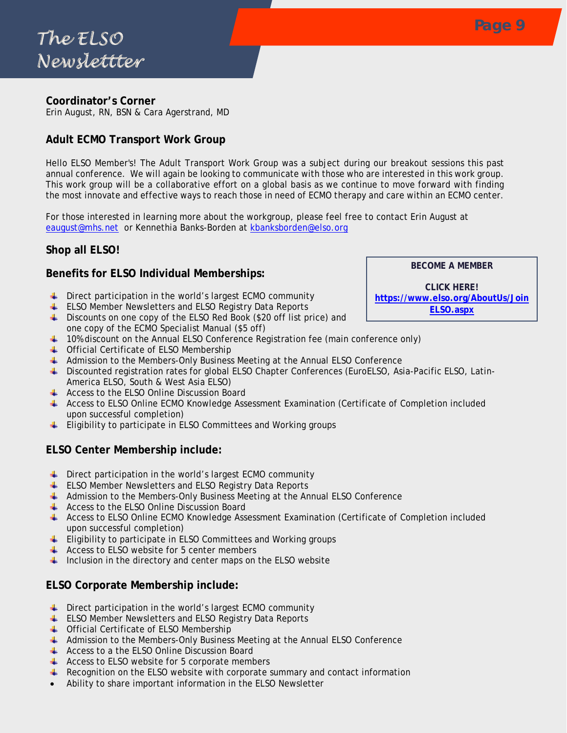## **Coordinator's Corner**

Erin August, RN, BSN & Cara Agerstrand, MD

# **Adult ECMO Transport Work Group**

Hello ELSO Member's! The Adult Transport Work Group was a subject during our breakout sessions this past annual conference. We will again be looking to communicate with those who are interested in this work group. This work group will be a collaborative effort on a global basis as we continue to move forward with finding the most innovate and effective ways to reach those in need of ECMO therapy and care within an ECMO center.

For those interested in learning more about the workgroup, please feel free to contact Erin August at [eaugust@mhs.net](mailto:eaugust@mhs.net) or Kennethia Banks-Borden at [kbanksborden@elso.org](mailto:kbanksborden@elso.org)

# **Shop all ELSO!**

# **Benefits for ELSO Individual Memberships:**

- $\overline{\phantom{a}}$  Direct participation in the world's largest ECMO community
- $\overline{\phantom{a}^+}$  ELSO Member Newsletters and ELSO Registry Data Reports
- Discounts on one copy of the ELSO Red Book (\$20 off list price) and one copy of the ECMO Specialist Manual (\$5 off)
- $\pm$  10% discount on the Annual ELSO Conference Registration fee (main conference only)
- **↓** Official Certificate of ELSO Membership
- Admission to the Members-Only Business Meeting at the Annual ELSO Conference
- Discounted registration rates for global ELSO Chapter Conferences (EuroELSO, Asia-Pacific ELSO, Latin-America ELSO, South & West Asia ELSO)
- $\leftarrow$  Access to the ELSO Online Discussion Board
- Access to ELSO Online ECMO Knowledge Assessment Examination (Certificate of Completion included upon successful completion)
- $\ddot{\phantom{1}}$  Eligibility to participate in ELSO Committees and Working groups

# **ELSO Center Membership include:**

- $\ddot{\phantom{1}}$  Direct participation in the world's largest ECMO community
- ELSO Member Newsletters and ELSO Registry Data Reports
- **Admission to the Members-Only Business Meeting at the Annual ELSO Conference**
- $\leftarrow$  Access to the ELSO Online Discussion Board
- Access to ELSO Online ECMO Knowledge Assessment Examination (Certificate of Completion included upon successful completion)
- Eligibility to participate in ELSO Committees and Working groups
- $\overline{\phantom{a}}$  Access to ELSO website for 5 center members
- $\ddot{\phantom{1}}$  Inclusion in the directory and center maps on the ELSO website

# **ELSO Corporate Membership include:**

- Direct participation in the world's largest ECMO community **ALC**
- ELSO Member Newsletters and ELSO Registry Data Reports
- **↓** Official Certificate of ELSO Membership
- Admission to the Members-Only Business Meeting at the Annual ELSO Conference
- Access to a the ELSO Online Discussion Board
- $\overline{\phantom{a}}$  Access to ELSO website for 5 corporate members
- $\ddot{\bullet}$  Recognition on the ELSO website with corporate summary and contact information
- Ability to share important information in the ELSO Newsletter

**BECOME A MEMBER**

**CLICK HERE! [https://www.elso.org/AboutUs/Join](https://www.elso.org/AboutUs/JoinELSO.aspx) [ELSO.aspx](https://www.elso.org/AboutUs/JoinELSO.aspx)**